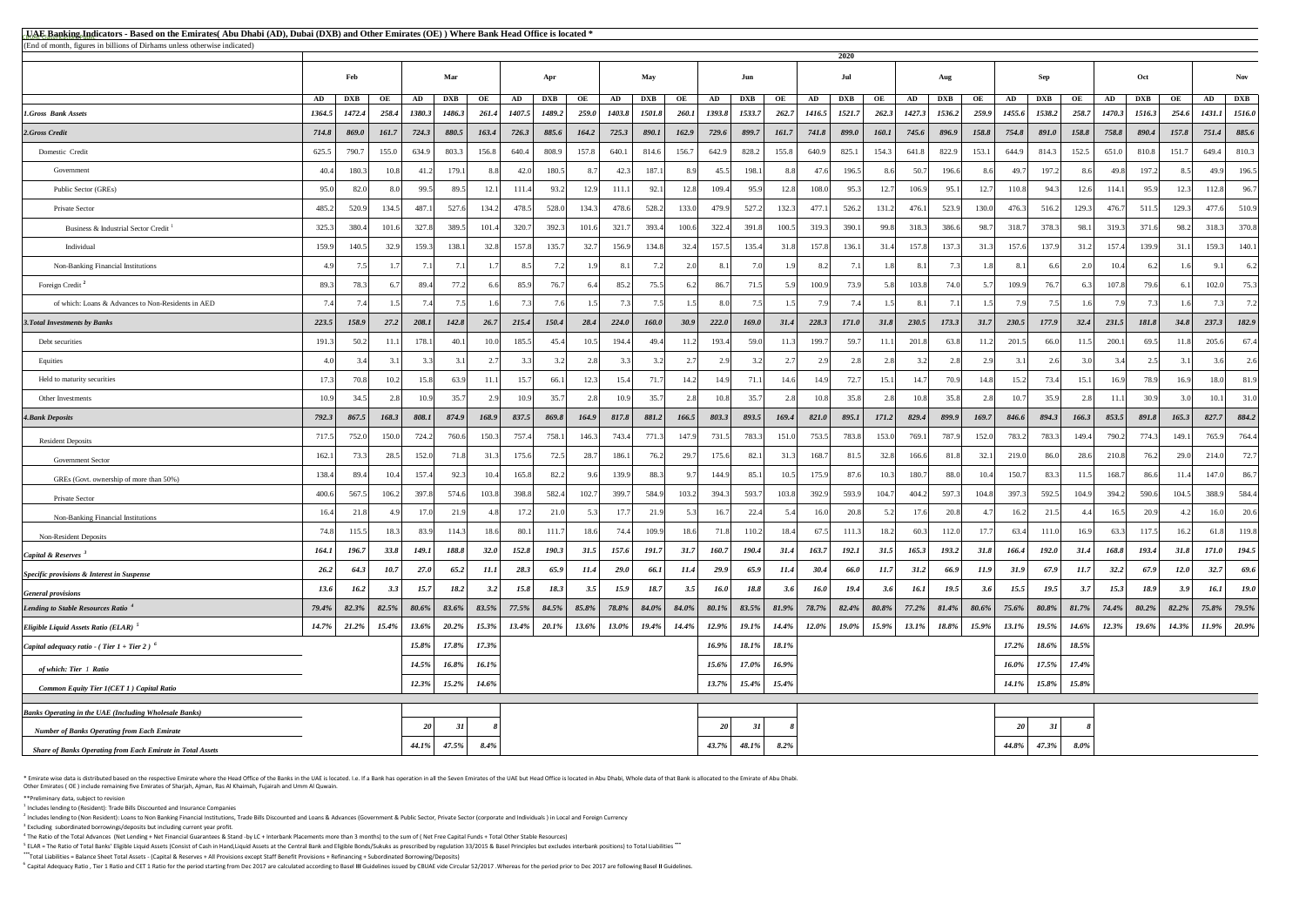<sup>5</sup> ELAR = The Ratio of Total Banks' Eligible Liquid Assets (Consist of Cash in Hand,Liquid Assets at the Central Bank and Eligible Bonds/Sukuks as prescribed by regulation 33/2015 & Basel Principles but excludes interbank **\*\*\***Total Liabilities = Balance Sheet Total Assets - (Capital & Reserves + All Provisions except Staff Benefit Provisions + Refinancing + Subordinated Borrowing/Deposits)

<sup>6</sup> Capital Adequacy Ratio, Tier 1 Ratio and CET 1 Ratio for the period starting from Dec 2017 are calculated according to Basel III Guidelines issued by CBUAE vide Circular 52/2017. Whereas for the period prior to Dec 201

\* Emirate wise data is distributed based on the respective Emirate where the Head Office of the Banks in the UAE is located. I.e. If a Bank has operation in all the Seven Emirates of the UAE but Head Office is located in A Other Emirates ( OE ) include remaining five Emirates of Sharjah, Ajman, Ras Al Khaimah, Fujairah and Umm Al Quwain.

| <b>EUAE Banking Indicators - Based on the Emirates</b> (Abu Dhabi (AD), Dubai (DXB) and Other Emirates (OE)) Where Bank Head Office is located * |          |            |       |                |            |         |          |                |          |             |               |          |                 |              |          |          |              |              |          |             |             |                 |              |          |          |            |          |        |                |
|--------------------------------------------------------------------------------------------------------------------------------------------------|----------|------------|-------|----------------|------------|---------|----------|----------------|----------|-------------|---------------|----------|-----------------|--------------|----------|----------|--------------|--------------|----------|-------------|-------------|-----------------|--------------|----------|----------|------------|----------|--------|----------------|
| (End of month, figures in billions of Dirhams unless otherwise indicated)                                                                        |          |            |       |                |            |         |          |                |          |             |               |          |                 |              | 2020     |          |              |              |          |             |             |                 |              |          |          |            |          |        |                |
|                                                                                                                                                  |          | Feb        |       |                | Mar        |         |          | Apr            |          |             | <b>May</b>    |          |                 | Jun          |          |          | Jul          |              |          | Aug         |             |                 | Sep          |          |          | Oct        |          |        | <b>Nov</b>     |
|                                                                                                                                                  | AD       | <b>DXB</b> | OE    | AD             | <b>DXB</b> | OE      | AD       | <b>DXB</b>     | OE       | AD          | <b>DXB</b>    | OE       | AD              | <b>DXB</b>   | OE       | AD       | <b>DXB</b>   | OE           | AD       | <b>DXB</b>  | OE          | AD              | <b>DXB</b>   | OE       | AD       | <b>DXB</b> | OE       | AD     | <b>DXB</b>     |
| <b>1.Gross Bank Assets</b>                                                                                                                       | 1364.5   | 1472.4     | 258.4 | 1380.3         | 1486.3     | 261.4   | 1407.5   | 1489.2         | 259.0    | 1403.8      | <b>1501.8</b> | 260.1    | 1393.8          | 1533.7       | 262.7    | 1416.5   | 1521.7       | 262.3        | 1427.3   | 1536.2      | 259.9       | 1455.6          | 1538.2       | 258.7    | 1470.3   | 1516.3     | 254.6    | 1431.1 | 1516.0         |
| 2.Gross Credit                                                                                                                                   | 714.8    | 869.0      | 161.7 | 724.3          | 880.5      | 163.4   | 726.3    | 885.6          | 164.2    | 725.3       | 890.1         | 162.9    | 729.6           | 899.7        | 161.7    | 741.8    | 899.0        | <b>160.1</b> | 745.6    | 896.9       | 158.8       | 754.8           | 891.0        | 158.8    | 758.8    | 890.4      | 157.8    | 751.4  | 885.6          |
| Domestic Credit                                                                                                                                  | 625.5    | 790.7      | 155.0 | 634.9          | 803.3      | 156.8   | 640.4    | 808.9          | 157.8    | 640.1       | 814.6         | 156.7    | 642.9           | 828.2        | 155.8    | 640.9    | 825.1        | 154.3        | 641.8    | 822.9       | 153.1       | 644.9           | 814.3        | 152.5    | 651.0    | 810.8      | 151.7    | 649.4  | 810.3          |
| Government                                                                                                                                       | 40.4     | 180.3      | 10.8  | 41.2           | 179.1      | 88      | 42.0     | 180.5          | 8.7      | 42.3        | 187.1         | 8.9      | 45.5            | 198.1        | 8.8      | 47.6     | 196.5        |              | 50.7     | 196.6       | 8.6         | 49.7            | 197.2        | 8.61     | 49.8     | 197.2      | 8.5I     | 49.9   | 196.5          |
| Public Sector (GREs)                                                                                                                             | 95.0     | 82.0       |       | 99.5           | 89.5       | 12.1    | 111.4    | 93.2           | 12.9     | 111.1       | 92.1          | 12.8     | 109.4           | 95.9         | 12.8     | 108.0    | 95.3         | 12.7         | 106.9    | 95.1        | 12.7        | 110.8           | 94.3         | 12.6     | 114.1    | 95.9       | 12.3     | 112.8  | 96.7           |
| Private Sector                                                                                                                                   | 485.2    | 520.9      | 134.5 | 487.1          | 527.6      | 134.2   | 478.5    | 528.0          | 134.3    | 478.6       | 528.2         | 133.0    | 479.9           | 527.2        | 132.3    | 477.1    | 526.2        | 131.2        | 476.1    | 523.9       | 130.0       | 476.3           | 516.2        | 129.3    | 476.7    | 511.5      | 129.3    | 477.6  | 510.9          |
| Business & Industrial Sector Credit <sup>1</sup>                                                                                                 | 325.3    | 380.4      | 101.6 | 327.8          | 389.5      | 101.4   | 320.7    | 392.3          | 101.6    | 321.7       | 393.4         | 100.6    | 322.4           | 391.8        | 100.5    | 319.3    | 390.1        | 99.8         | 318.3    | 386.6       | 98.7        | 318.7           | 378.3        | 98.1     | 319.3    | 371.6      | 98.2     | 318.3  | 370.8          |
| Individual                                                                                                                                       | 159.9    | 140.5      | 32.9  | 159.3          | 138.1      | 32.8    | 157.8    | 135.7          | 32.7     | 156.9       | 134.8         | 32.4     | 157.5           | 135.4        | 31.8     | 157.8    | 136.1        | 31.4         | 157.8    | 137.3       | 31.3        | 157.6           | 137.9        | 31.2     | 157.4    | 139.9      | 31.1     | 159.3  | 140.1          |
| Non-Banking Financial Institutions                                                                                                               |          |            |       | 7 <sub>1</sub> | 7.1        |         | 8.5      | 7 <sub>2</sub> |          | 8.1         |               |          | 8.1             |              |          | 8.2      |              |              |          |             |             |                 |              |          | 10.4     |            |          | 9.1    | 6.2            |
| Foreign Credit <sup>2</sup>                                                                                                                      | 89.3     | 78.3       |       | 89.4           | 77.2       |         | 85.9     | 76.7           |          | 85.2        | 75.5          |          | 86.7            | 71.5         |          | 100.9    | 73.9         |              | 103.8    | 74.0        | 57          | 109.9           | 76.7         |          | 107.8    | 79.6       |          | 102.0  | 75.3           |
| of which: Loans & Advances to Non-Residents in AED                                                                                               |          |            |       |                |            |         | 73       | 7.6            |          |             | 75            |          | 8.0             | 7.5          |          |          |              |              |          |             |             |                 | 75           |          |          |            |          | 7.3    | 7.2            |
| <b>3. Total Investments by Banks</b>                                                                                                             | 223.5    | 158.9      | 27.2  | 208.1          | 142.8      | 26.7    | 215.4    | 150.4          | 28.4     | 224.0       | <b>160.0</b>  | 30.9     | 222.0           | 169.0        | 31.4     | 228.3    | <i>171.0</i> | 31.8         | 230.5    | 173.3       | 31.7        | 230.5           | 177.9        | 32.4     | 231.5    | 181.8      | 34.8     | 237.3  | 182.9          |
| Debt securities                                                                                                                                  | 191.3    | 50.2       | 11.1  | 178.1          | 40.1       | 10.0    | 185.5    | 45.4           | 10.5     | 194.4       | 49.4          | 11.2     | 193.4           | 59.0         | 11.3     | 199.7    | 59.7         | 11.1         | 201.8    | 63.8        | 11.2        | 201.5           | 66.0         | 11.5     | 200.1    | 69.5       | 11.8     | 205.6  | 67.4           |
| Equities                                                                                                                                         |          |            |       |                |            |         | 3.3      |                |          |             |               |          | 2.9             |              |          |          |              |              |          | 2.8         | 2.9         |                 | 2.6          |          |          | 2.5        |          | 3.6    | 2.6            |
| Held to maturity securities                                                                                                                      | 17.3     | 70.8       | 10.2  | 15.8           | 63.9       | 11.     | 15.7     | 66.            | 12.3     | 15.4        | 71.7          | 14.2     | 14.9            | 71.1         | 14.6     | 14.9     | 72.7         | 15.1         | 14.7     | 70.9        | 14.8        | 15.2            | 73.4         | 15.1     | 16.9     | 78.9       | 16.9     | 18.0   | 81.9           |
| Other Investments                                                                                                                                | 10.9     |            |       | 10.9           | 35.7       |         | 10.9     | 35.7           |          | 10.9        | 35.7          | 2.8      | 10.8            | 35.7         |          | 10.8     | 35.8         |              | 10.8     | 35.8        |             | 10.7            | 35.9         |          | 11.1     | 30.9       | 3.0      | 10.1   | 31.0           |
| <b>4. Bank Deposits</b>                                                                                                                          | 792.3    | 867.5      | 168.3 | 808.1          | 874.9      | 168.9   | 837.5    | 869.8          | 164.9    | 817.8       | 881.2         | 166.5    | 803.3           | 893.5        | 169.4    | 821.0    | 895.1        | <i>171.2</i> | 829.4    | 899.9       | 169.7       | 846.6           | 894.3        | 166.3    | 853.5    | 891.8      | 165.3    | 827.7  | 884.2          |
| <b>Resident Deposits</b>                                                                                                                         | 717.5    | 752.0      | 150.0 | 724.2          | 760.6      | 150.3   | 757.4    | 758.1          | 146.3    | 743.4       | 771.3         | 147.9    | 731.5           | 783.3        | 151.0    | 753.5    | 783.8        | 153.0        | 769.1    | 787.9       | 152.0       | 783.2           | 783.3        | 149.4    | 790.2    | 774.3      | 149.1    | 765.9  | 764.4          |
| <b>Government Sector</b>                                                                                                                         | 162.1    | 73.3       | 28.5  | 152.0          | 71.8       | 31.3    | 175.6    | 72.5           | 28.7     | 186.1       | 76.2          | 29.7     | 175.6           | 82.1         | 31.3     | 168.7    | 81.5         | 32.8         | 166.6    | 81.8        | 32.1        | 219.0           | 86.0         | 28.6     | 210.8    | 76.2       | 29.0     | 214.0  | 72.7           |
| GREs (Govt. ownership of more than 50%)                                                                                                          | 138.4    | 89.4       | 10.4  | 157.4          | 92.3       | 10.4    | 165.8    | 82.2           |          | 139.9       | 88.3          | 9.7      | 144.9           | 85.1         | 10.5     | 175.9    | 87.6         | 10.3         | 180.7    | 88.0        | 10.4        | 150.7           | 83.3         | 11.5     | 168.7    | 86.6       | 11.4     | 147.0  | 86.7           |
| Private Sector                                                                                                                                   | 400.6    | 567.5      | 106.2 | 397.8          | 574.6      | 103.8   | 398.8    | 582.4          | 102.7    | 399.7       | 584.9         | 103.2    | 394.3           | 593.7        | 103.8    | 392.9    | 593.9        | 104.7        | 404.2    | 597.3       | 104.8       | 397.3           | 592.5        | 104.9    | 394.2    | 590.6      | 104.5    | 388.9  | 584.4          |
| Non-Banking Financial Institutions                                                                                                               | 16.4     | 21.8       |       | 17.0           | 21.9       |         | 17.2     | 21.0           |          | 17.7        | 21.9          |          | 16.7            | 22.4         |          | 16.0     | 20.8         |              |          | 20.8        |             | 16.2            | 21.5         |          | 16.5     | 20.9       |          | 16.0   | 20.6           |
| <b>Non-Resident Deposits</b>                                                                                                                     | 74.8     | 115.5      | 18.3  | 83.9           | 114.3      | 18.6    | 80.1     | 111.7          | 18.6     | 74.4        | 109.9         | 18.6     | 71.8            | 110.2        | 18.4     | 67.5     | 111.3        | 18.2         | 60.3     | 112.0       |             | 63.4            | 111.0        | 16.9     | 63.3     | 117.5      | 16.2     | 61.8   | 119.8          |
| <i>Capital &amp; Reserves</i> $3$                                                                                                                | 164.1    | 196.7      | 33.8  | 149.1          | 188.8      | 32.0    | 152.8    | 190.3          | 31.5     | 157.6       | 191.7         | 31.7     | 160.7           | <b>190.4</b> | 31.4     | 163.7    | 192.1        | 31.5         | 165.3    | 193.2       | 31.8        | 166.4           | <b>192.0</b> | 31.4     | 168.8    | 193.4      | 31.8     | 171.0  | 194.5          |
| Specific provisions & Interest in Suspense                                                                                                       | 26.2     | 64.3       | 10.7  | <b>27.0</b>    | 65.2       | 11.1    | 28.3     | 65.9           | 11.4     | <b>29.0</b> | 66.1          | 11.4     | 29.9            | 65.9         | 11.4     | 30.4     | 66.0         | 11.7         | 31.2     | 66.9        | <i>11.9</i> | 31.9            | 67.9         | 11.7     | 32.2     | 67.9       | 12.0     | 32.7   | 69.6           |
| <b>General provisions</b>                                                                                                                        | 13.6     | 16.2       | 3.3   | 15.7           | 18.2       | 3.2     | 15.8     | 18.3           | 3.5      | 15.9        | 18.7          | 3.5      | 16.0            | 18.8         | 3.6      | 16.0     | 19.4         | <b>3.6</b>   | 16.1     | <b>19.5</b> | 3.6         | 15.5            | 19.5         | 3.7      | 15.3     | 18.9       | 3.9      | 16.1   | <b>19.0</b>    |
| Lending to Stable Resources Ratio <sup>4</sup>                                                                                                   | $79.4\%$ | 82.3%      | 82.5% | $80.6\%$       | 83.6%      | 83.5%   | $77.5\%$ | $84.5\%$       | $85.8\%$ | 78.8%       | $84.0\%$      | $84.0\%$ | $80.1\%$        | 83.5%        | $81.9\%$ | $78.7\%$ | $82.4\%$     | $80.8\%$     | $77.2\%$ | $81.4\%$    | $80.6\%$    | $75.6\%$        | $80.8\%$     | $81.7\%$ | $74.4\%$ | $80.2\%$   | $82.2\%$ |        | 75.8% 79.5%    |
| Eligible Liquid Assets Ratio (ELAR)                                                                                                              | 14.7%    | $21.2\%$   | 15.4% | 13.6%          | $20.2\%$   | 15.3%   | 13.4%    | $20.1\%$       | $13.6\%$ | $13.0\%$    | 19.4%         | $14.4\%$ | $12.9\%$        | $19.1\%$     | $14.4\%$ | $12.0\%$ | 19.0%        | 15.9%        | 13.1%    | 18.8%       | 15.9%       | $13.1\%$        | 19.5%        | 14.6%    | $12.3\%$ | $19.6\%$   | 14.3%    |        | $11.9\%$ 20.9% |
| <i>Capital adequacy ratio - (Tier 1 + Tier 2)</i> $\delta$                                                                                       |          |            |       | 15.8%          | 17.8%      | 17.3%   |          |                |          |             |               |          | $16.9\%$        | 18.1%        | 18.1%    |          |              |              |          |             |             | $17.2\%$        | $18.6\%$     | 18.5%    |          |            |          |        |                |
| of which: Tier 1 Ratio                                                                                                                           |          |            |       | 14.5%          | 16.8%      | 16.1%   |          |                |          |             |               |          | $15.6\%$        | $17.0\%$     | 16.9%    |          |              |              |          |             |             | $16.0\%$        | 17.5%        | 17.4%    |          |            |          |        |                |
| <b>Common Equity Tier 1(CET 1) Capital Ratio</b>                                                                                                 |          |            |       | 12.3%          | $15.2\%$   | 14.6%   |          |                |          |             |               |          | $13.7\%$        | 15.4%        | 15.4%    |          |              |              |          |             |             | $14.1\%$        | $15.8\%$     | 15.8%    |          |            |          |        |                |
| <b>Banks Operating in the UAE (Including Wholesale Banks)</b>                                                                                    |          |            |       |                |            |         |          |                |          |             |               |          |                 |              |          |          |              |              |          |             |             |                 |              |          |          |            |          |        |                |
| <b>Number of Banks Operating from Each Emirate</b>                                                                                               |          |            |       | 20             | 31         |         |          |                |          |             |               |          | 20 <sup>°</sup> | 31           |          |          |              |              |          |             |             | 20 <sup>°</sup> |              |          |          |            |          |        |                |
| <b>Share of Banks Operating from Each Emirate in Total Assets</b>                                                                                |          |            |       | 44.1%          | 47.5%      | $8.4\%$ |          |                |          |             |               |          | 43.7%           | 48.1%        | $8.2\%$  |          |              |              |          |             |             | 44.8%           | 47.3%        | $8.0\%$  |          |            |          |        |                |

\*\*Preliminary data, subject to revision

 $<sup>1</sup>$  Includes lending to (Resident): Trade Bills Discounted and Insurance Companies</sup>

<sup>2</sup> Includes lending to (Non Resident): Loans to Non Banking Financial Institutions, Trade Bills Discounted and Loans & Advances (Government & Public Sector, Private Sector (corporate and Individuals) in Local and Foreign  $3$  Excluding subordinated borrowings/deposits but including current year profit.

 $^4$  The Ratio of the Total Advances (Net Lending + Net Financial Guarantees & Stand -by LC + Interbank Placements more than 3 months) to the sum of (Net Free Capital Funds + Total Other Stable Resources)